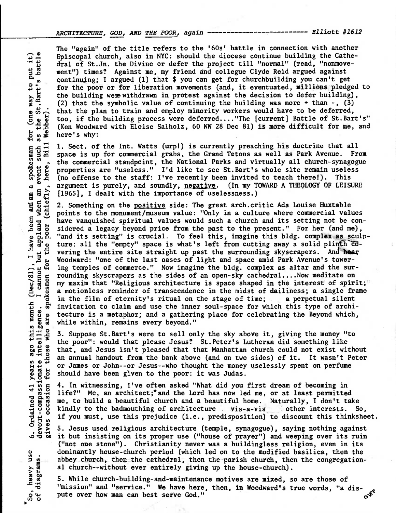ARCHITECTURE, GOD, AND THE POOR, again ------------------------- Elliott #1612

**The "again" of the title refers to the '60s' battle in connection with another Episcopal church, also in NYC: should the diocese continue building the Cathedral of St.Jn. the Divine or defer the project till "normal" (read, "nonmovement") times? Against me, my friend and collegue Clyde Reid argued against continuing; I argued (1) that \$ you can get for churchbuilding you can't get for the poor or for liberation movements (and, it eventuated, millions pledged to the building wemwithdrawn in protest against the decision to defer building), (2) that the symbolic value of continuing the building was more + than -, (3) that the plan to train and employ minority workers would have to be deferred, too, if the building process were deferred...."The [current] Battle of St.Bart's" (Ken Woodward with Eloise Salholz, 60 NW 28 Dec 81) is more difficult for me, and here's why:** 

**1. Sect. of the Int. Watts (urp!) is currently preaching his doctrine that all space is up for commercial grabs, the Grand Tetons as well as Park Avenue. From the commercial standpoint, the National Parks and virtually all church-synagogue properties are "useless." I'd like to see St.Bart's whole site remain useless (no offense to the staff: I've recently been invited to teach there!). This argument is purely, and soundly, negative.(In my TOWARD A THEOLOGY OF LEISURE [1965], I dealt with the importance of uselessness.)** 

[1965], I dealt with the importance of uselessness.)<br>2. Something on the <u>positive</u> side: The great arch.critic Ada Louise Huxtable<br>5. points to the monument/museum value: "Only in a culture where commercial value **co • 0 points to the monument/museum value: "Only in a culture where commercial values <sup>g</sup>** have vanquished spiritual values would such a church and its setting not be considered a legacy beyond price from the past to the present." For her (and me), "and its setting" is crucial. To feel this, imagine this bldg. complex as sculp**c** ture: all the "empty" space is what's left from cutting away a solid plinth  $\overline{co}$ -<br>  $\overline{P}$  vering the entire site straight up past the surrounding skyscrapers. And hear **vering the entire site straight up past the surrounding skyscrapers. And hear 1** Woodward: "one of the last oases of light and space amid Park Avenue's tower-<br>  $\frac{1}{2}$  ing temples of commerce." Now imagine the bldg. complex as altar and the suring temples of commerce." Now imagine the bldg. complex as altar and the sur-<br>rounding skyscrapers as the sides of an open-sky cathedral....Now meditate on my maxim that "Religious architecture is space shaped in the interest of spirit; **Q a motionless reminder of transcendence in the midst of dailiness; a single frame O in the film of eternity's ritual on the stage of time; a perpetual silent**   $\frac{1}{\alpha}$  invitation to claim and use the inner soul-space for which this type of archi-<br>  $\frac{1}{\alpha}$  while within, remains every beyond." **<sup>O</sup> <sup>g</sup>Q 0 while within, remains every beyond."** 

**3. Suppose St.Bart's were to sell only the sky above it, giving the money "to the poor": would that please Jesus? St.Peter's Lutheran did something like that, and Jesus isn't pleased that that Manhattan church could not exist without an annual handout from the bank above (and on two sides) of it. It wasn't Peter or James or John--or Jesus--who thought the money uselessly spent on perfume should have been given to the poor: it was Judas.** 

**4. In witnessing, I've often asked "What did you first dream of becoming in life?" Me, an architect; \* and the Lord has now led me, or at least permitted me, to build a beautiful church and a beautiful home. Naturally, I don't take**  kindly to the badmouthing of architecture vis-a-vis **if you must, use this prejudice (i.e., predisposition) to discount this thinksheet. other interests. So,** 

**5. Jesus used religious architecture (temple, synagogue), saying nothing against it but insisting on its proper use ("house of prayer") and weeping over its ruin ("not one stone"). Christianity never was a buildingless religion, even in its dominantly house-church period (which led on to the modified basilica, then the abbey church, then the cathedral, then the parish church, then the congregational church--without ever entirely giving up the house-church).** 

dominantly house-church period (which led on to the modified basilica, then<br>abbey church, then the cathedral, then the parish church, then the congrega<br>al church--without ever entirely giving up the house-church).<br>5. While "mission" and "service." We have here, then, in Woodward's true words, "a dispute over how man can best serve God." **ei** 

**0 4.) 1-1 .6-1 +a 0 0 .4J r** (one way<br> **the St.Ba**<br> **(ebber). Bill Webber**) **o 4-4 Cli g 0 U.N.**<br>Big Big **0 ohs 4J CC <sup>0</sup>P4o o tra W O IA' CO 44**  poor years ago this month (Dec/81<br>ionate intelligence. I canno<br>for those who are spokesmen devout-compassionate intelligence.<br>gives occasion for those who are sp ose  $\ddot{v}$ for  $\overline{4}$ occasion Ordained gives .<br>ف of diagrams.